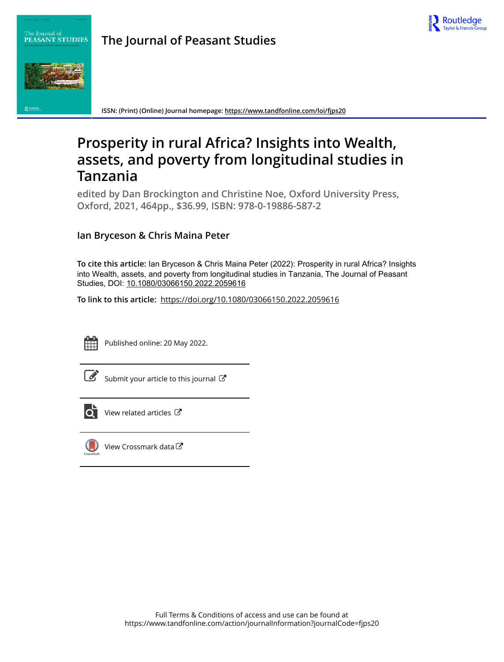

## **The Journal of Peasant Studies**



The Journal of<br>PEASANT STUDIES

**ISSN: (Print) (Online) Journal homepage:<https://www.tandfonline.com/loi/fjps20>**

# **Prosperity in rural Africa? Insights into Wealth, assets, and poverty from longitudinal studies in Tanzania**

**edited by Dan Brockington and Christine Noe, Oxford University Press, Oxford, 2021, 464pp., \$36.99, ISBN: 978-0-19886-587-2**

## **Ian Bryceson & Chris Maina Peter**

**To cite this article:** Ian Bryceson & Chris Maina Peter (2022): Prosperity in rural Africa? Insights into Wealth, assets, and poverty from longitudinal studies in Tanzania, The Journal of Peasant Studies, DOI: [10.1080/03066150.2022.2059616](https://www.tandfonline.com/action/showCitFormats?doi=10.1080/03066150.2022.2059616)

**To link to this article:** <https://doi.org/10.1080/03066150.2022.2059616>



Published online: 20 May 2022.

|--|

[Submit your article to this journal](https://www.tandfonline.com/action/authorSubmission?journalCode=fjps20&show=instructions)  $\mathbb{Z}$ 



 $\overline{\mathbf{C}}$  [View related articles](https://www.tandfonline.com/doi/mlt/10.1080/03066150.2022.2059616)  $\mathbf{C}$ 



[View Crossmark data](http://crossmark.crossref.org/dialog/?doi=10.1080/03066150.2022.2059616&domain=pdf&date_stamp=2022-05-20)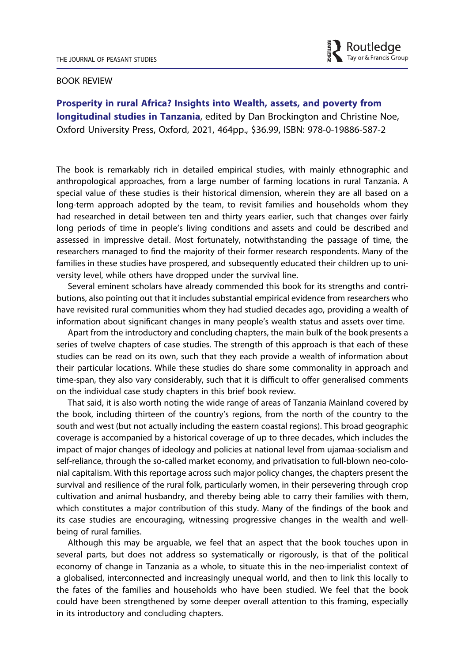

#### BOOK REVIEW

Prosperity in rural Africa? Insights into Wealth, assets, and poverty from longitudinal studies in Tanzania, edited by Dan Brockington and Christine Noe, Oxford University Press, Oxford, 2021, 464pp., \$36.99, ISBN: 978-0-19886-587-2

The book is remarkably rich in detailed empirical studies, with mainly ethnographic and anthropological approaches, from a large number of farming locations in rural Tanzania. A special value of these studies is their historical dimension, wherein they are all based on a long-term approach adopted by the team, to revisit families and households whom they had researched in detail between ten and thirty years earlier, such that changes over fairly long periods of time in people's living conditions and assets and could be described and assessed in impressive detail. Most fortunately, notwithstanding the passage of time, the researchers managed to find the majority of their former research respondents. Many of the families in these studies have prospered, and subsequently educated their children up to university level, while others have dropped under the survival line.

Several eminent scholars have already commended this book for its strengths and contributions, also pointing out that it includes substantial empirical evidence from researchers who have revisited rural communities whom they had studied decades ago, providing a wealth of information about significant changes in many people's wealth status and assets over time.

Apart from the introductory and concluding chapters, the main bulk of the book presents a series of twelve chapters of case studies. The strength of this approach is that each of these studies can be read on its own, such that they each provide a wealth of information about their particular locations. While these studies do share some commonality in approach and time-span, they also vary considerably, such that it is difficult to offer generalised comments on the individual case study chapters in this brief book review.

That said, it is also worth noting the wide range of areas of Tanzania Mainland covered by the book, including thirteen of the country's regions, from the north of the country to the south and west (but not actually including the eastern coastal regions). This broad geographic coverage is accompanied by a historical coverage of up to three decades, which includes the impact of major changes of ideology and policies at national level from ujamaa-socialism and self-reliance, through the so-called market economy, and privatisation to full-blown neo-colonial capitalism. With this reportage across such major policy changes, the chapters present the survival and resilience of the rural folk, particularly women, in their persevering through crop cultivation and animal husbandry, and thereby being able to carry their families with them, which constitutes a major contribution of this study. Many of the findings of the book and its case studies are encouraging, witnessing progressive changes in the wealth and wellbeing of rural families.

Although this may be arguable, we feel that an aspect that the book touches upon in several parts, but does not address so systematically or rigorously, is that of the political economy of change in Tanzania as a whole, to situate this in the neo-imperialist context of a globalised, interconnected and increasingly unequal world, and then to link this locally to the fates of the families and households who have been studied. We feel that the book could have been strengthened by some deeper overall attention to this framing, especially in its introductory and concluding chapters.